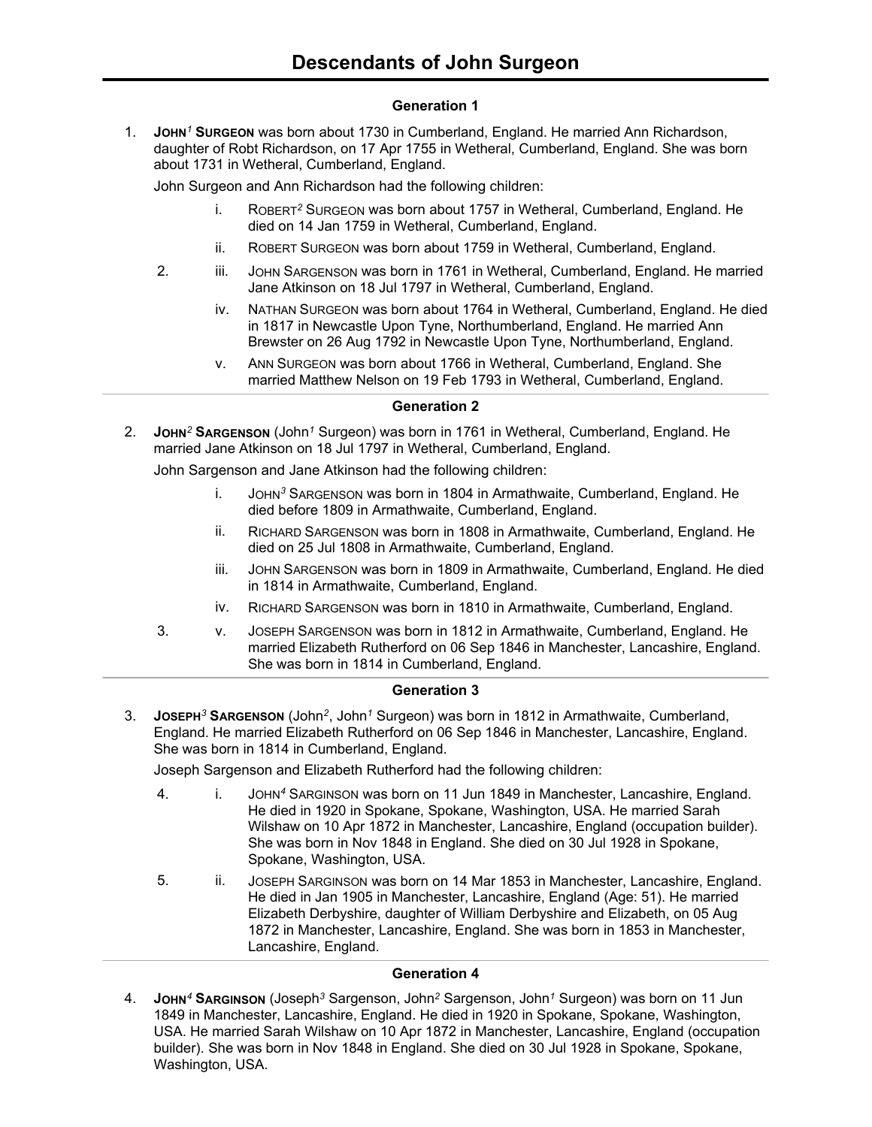## **Generation 1**

1. **JOHN***<sup>1</sup>* **SURGEON** was born about 1730 in Cumberland, England. He married Ann Richardson, daughter of Robt Richardson, on 17 Apr 1755 in Wetheral, Cumberland, England. She was born about 1731 in Wetheral, Cumberland, England.

John Surgeon and Ann Richardson had the following children:

- i. ROBERT*<sup>2</sup>* SURGEON was born about 1757 in Wetheral, Cumberland, England. He died on 14 Jan 1759 in Wetheral, Cumberland, England.
- ii. ROBERT SURGEON was born about 1759 in Wetheral, Cumberland, England.
- 2. iii. JOHN SARGENSON was born in 1761 in Wetheral, Cumberland, England. He married Jane Atkinson on 18 Jul 1797 in Wetheral, Cumberland, England.
	- iv. NATHAN SURGEON was born about 1764 in Wetheral, Cumberland, England. He died in 1817 in Newcastle Upon Tyne, Northumberland, England. He married Ann Brewster on 26 Aug 1792 in Newcastle Upon Tyne, Northumberland, England.
	- v. ANN SURGEON was born about 1766 in Wetheral, Cumberland, England. She married Matthew Nelson on 19 Feb 1793 in Wetheral, Cumberland, England.

# **Generation 2**

2. **JOHN***<sup>2</sup>* **SARGENSON** (John*<sup>1</sup>* Surgeon) was born in 1761 in Wetheral, Cumberland, England. He married Jane Atkinson on 18 Jul 1797 in Wetheral, Cumberland, England.

John Sargenson and Jane Atkinson had the following children:

- i. JOHN*<sup>3</sup>* SARGENSON was born in 1804 in Armathwaite, Cumberland, England. He died before 1809 in Armathwaite, Cumberland, England.
- ii. RICHARD SARGENSON was born in 1808 in Armathwaite, Cumberland, England. He died on 25 Jul 1808 in Armathwaite, Cumberland, England.
- iii. JOHN SARGENSON was born in 1809 in Armathwaite, Cumberland, England. He died in 1814 in Armathwaite, Cumberland, England.
- iv. RICHARD SARGENSON was born in 1810 in Armathwaite, Cumberland, England.
- 3. v. JOSEPH SARGENSON was born in 1812 in Armathwaite, Cumberland, England. He married Elizabeth Rutherford on 06 Sep 1846 in Manchester, Lancashire, England. She was born in 1814 in Cumberland, England.

# **Generation 3**

3. **JOSEPH***<sup>3</sup>* **SARGENSON** (John*<sup>2</sup>* , John*<sup>1</sup>* Surgeon) was born in 1812 in Armathwaite, Cumberland, England. He married Elizabeth Rutherford on 06 Sep 1846 in Manchester, Lancashire, England. She was born in 1814 in Cumberland, England.

Joseph Sargenson and Elizabeth Rutherford had the following children:

- 4. i. JOHN*<sup>4</sup>* SARGINSON was born on 11 Jun 1849 in Manchester, Lancashire, England. He died in 1920 in Spokane, Spokane, Washington, USA. He married Sarah Wilshaw on 10 Apr 1872 in Manchester, Lancashire, England (occupation builder). She was born in Nov 1848 in England. She died on 30 Jul 1928 in Spokane, Spokane, Washington, USA.
- 5. ii. JOSEPH SARGINSON was born on 14 Mar 1853 in Manchester, Lancashire, England. He died in Jan 1905 in Manchester, Lancashire, England (Age: 51). He married Elizabeth Derbyshire, daughter of William Derbyshire and Elizabeth, on 05 Aug 1872 in Manchester, Lancashire, England. She was born in 1853 in Manchester, Lancashire, England.

# **Generation 4**

4. **JOHN***<sup>4</sup>* **SARGINSON** (Joseph*<sup>3</sup>* Sargenson, John*<sup>2</sup>* Sargenson, John*<sup>1</sup>* Surgeon) was born on 11 Jun 1849 in Manchester, Lancashire, England. He died in 1920 in Spokane, Spokane, Washington, USA. He married Sarah Wilshaw on 10 Apr 1872 in Manchester, Lancashire, England (occupation builder). She was born in Nov 1848 in England. She died on 30 Jul 1928 in Spokane, Spokane, Washington, USA.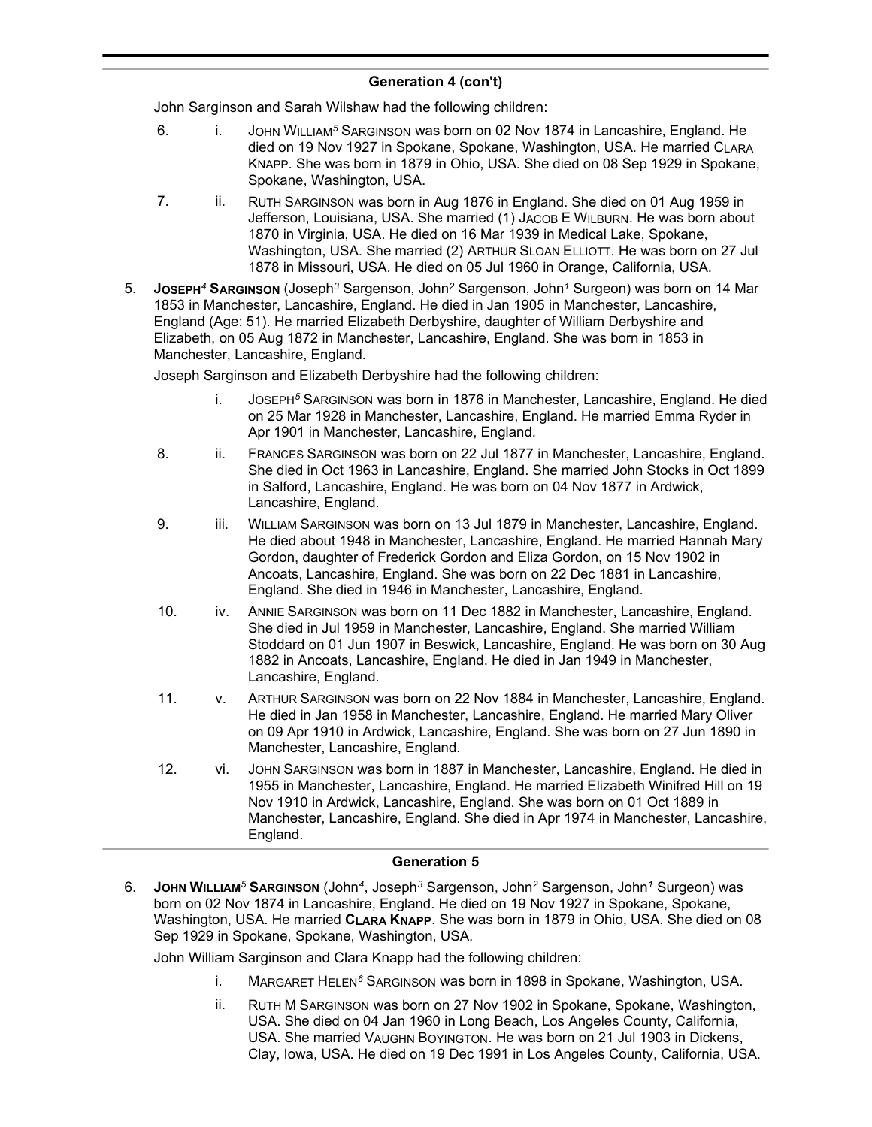# **Generation 4 (con't)**

John Sarginson and Sarah Wilshaw had the following children:

- 6. i. JOHN WILLIAM*<sup>5</sup>* SARGINSON was born on 02 Nov 1874 in Lancashire, England. He died on 19 Nov 1927 in Spokane, Spokane, Washington, USA. He married CLARA KNAPP. She was born in 1879 in Ohio, USA. She died on 08 Sep 1929 in Spokane, Spokane, Washington, USA.
- 7. ii. RUTH SARGINSON was born in Aug 1876 in England. She died on 01 Aug 1959 in Jefferson, Louisiana, USA. She married (1) JACOB E WILBURN. He was born about 1870 in Virginia, USA. He died on 16 Mar 1939 in Medical Lake, Spokane, Washington, USA. She married (2) ARTHUR SLOAN ELLIOTT. He was born on 27 Jul 1878 in Missouri, USA. He died on 05 Jul 1960 in Orange, California, USA.
- 5. **JOSEPH***<sup>4</sup>* **SARGINSON** (Joseph*<sup>3</sup>* Sargenson, John*<sup>2</sup>* Sargenson, John*<sup>1</sup>* Surgeon) was born on 14 Mar 1853 in Manchester, Lancashire, England. He died in Jan 1905 in Manchester, Lancashire, England (Age: 51). He married Elizabeth Derbyshire, daughter of William Derbyshire and Elizabeth, on 05 Aug 1872 in Manchester, Lancashire, England. She was born in 1853 in Manchester, Lancashire, England.

Joseph Sarginson and Elizabeth Derbyshire had the following children:

- i. JOSEPH*<sup>5</sup>* SARGINSON was born in 1876 in Manchester, Lancashire, England. He died on 25 Mar 1928 in Manchester, Lancashire, England. He married Emma Ryder in Apr 1901 in Manchester, Lancashire, England.
- 8. ii. FRANCES SARGINSON was born on 22 Jul 1877 in Manchester, Lancashire, England. She died in Oct 1963 in Lancashire, England. She married John Stocks in Oct 1899 in Salford, Lancashire, England. He was born on 04 Nov 1877 in Ardwick, Lancashire, England.
- 9. iii. WILLIAM SARGINSON was born on 13 Jul 1879 in Manchester, Lancashire, England. He died about 1948 in Manchester, Lancashire, England. He married Hannah Mary Gordon, daughter of Frederick Gordon and Eliza Gordon, on 15 Nov 1902 in Ancoats, Lancashire, England. She was born on 22 Dec 1881 in Lancashire, England. She died in 1946 in Manchester, Lancashire, England.
- 10. iv. ANNIE SARGINSON was born on 11 Dec 1882 in Manchester, Lancashire, England. She died in Jul 1959 in Manchester, Lancashire, England. She married William Stoddard on 01 Jun 1907 in Beswick, Lancashire, England. He was born on 30 Aug 1882 in Ancoats, Lancashire, England. He died in Jan 1949 in Manchester, Lancashire, England.
- 11. v. ARTHUR SARGINSON was born on 22 Nov 1884 in Manchester, Lancashire, England. He died in Jan 1958 in Manchester, Lancashire, England. He married Mary Oliver on 09 Apr 1910 in Ardwick, Lancashire, England. She was born on 27 Jun 1890 in Manchester, Lancashire, England.
- 12. vi. JOHN SARGINSON was born in 1887 in Manchester, Lancashire, England. He died in 1955 in Manchester, Lancashire, England. He married Elizabeth Winifred Hill on 19 Nov 1910 in Ardwick, Lancashire, England. She was born on 01 Oct 1889 in Manchester, Lancashire, England. She died in Apr 1974 in Manchester, Lancashire, England.

#### **Generation 5**

6. **JOHN WILLIAM***<sup>5</sup>* **SARGINSON** (John*<sup>4</sup>* , Joseph*<sup>3</sup>* Sargenson, John*<sup>2</sup>* Sargenson, John*<sup>1</sup>* Surgeon) was born on 02 Nov 1874 in Lancashire, England. He died on 19 Nov 1927 in Spokane, Spokane, Washington, USA. He married **CLARA KNAPP**. She was born in 1879 in Ohio, USA. She died on 08 Sep 1929 in Spokane, Spokane, Washington, USA.

John William Sarginson and Clara Knapp had the following children:

- i. MARGARET HELEN*<sup>6</sup>* SARGINSON was born in 1898 in Spokane, Washington, USA.
- ii. RUTH M SARGINSON was born on 27 Nov 1902 in Spokane, Spokane, Washington, USA. She died on 04 Jan 1960 in Long Beach, Los Angeles County, California, USA. She married VAUGHN BOYINGTON. He was born on 21 Jul 1903 in Dickens, Clay, Iowa, USA. He died on 19 Dec 1991 in Los Angeles County, California, USA.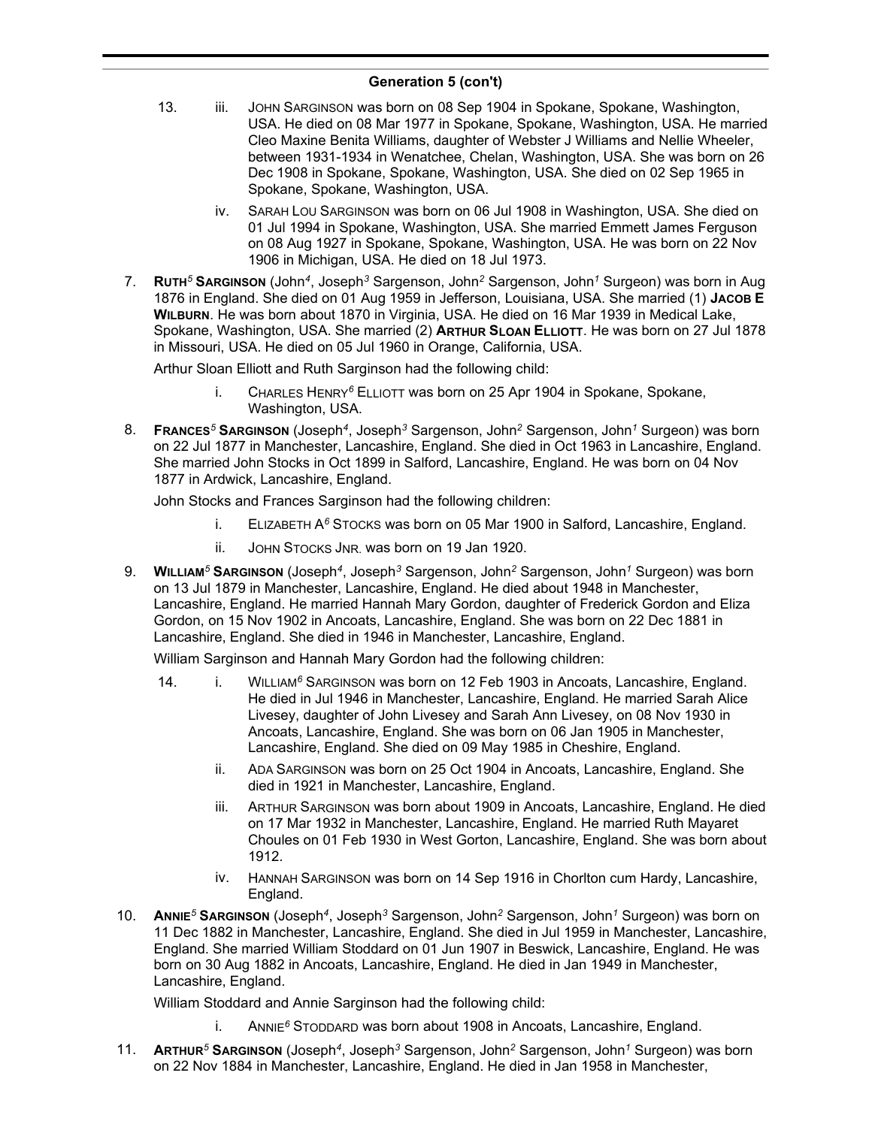## **Generation 5 (con't)**

- 13. iii. JOHN SARGINSON was born on 08 Sep 1904 in Spokane, Spokane, Washington, USA. He died on 08 Mar 1977 in Spokane, Spokane, Washington, USA. He married Cleo Maxine Benita Williams, daughter of Webster J Williams and Nellie Wheeler, between 1931-1934 in Wenatchee, Chelan, Washington, USA. She was born on 26 Dec 1908 in Spokane, Spokane, Washington, USA. She died on 02 Sep 1965 in Spokane, Spokane, Washington, USA.
	- iv. SARAH LOU SARGINSON was born on 06 Jul 1908 in Washington, USA. She died on 01 Jul 1994 in Spokane, Washington, USA. She married Emmett James Ferguson on 08 Aug 1927 in Spokane, Spokane, Washington, USA. He was born on 22 Nov 1906 in Michigan, USA. He died on 18 Jul 1973.
- 7. **RUTH***<sup>5</sup>* **SARGINSON** (John*<sup>4</sup>* , Joseph*<sup>3</sup>* Sargenson, John*<sup>2</sup>* Sargenson, John*<sup>1</sup>* Surgeon) was born in Aug 1876 in England. She died on 01 Aug 1959 in Jefferson, Louisiana, USA. She married (1) **JACOB E WILBURN**. He was born about 1870 in Virginia, USA. He died on 16 Mar 1939 in Medical Lake, Spokane, Washington, USA. She married (2) **ARTHUR SLOAN ELLIOTT**. He was born on 27 Jul 1878 in Missouri, USA. He died on 05 Jul 1960 in Orange, California, USA.

Arthur Sloan Elliott and Ruth Sarginson had the following child:

- i. CHARLES HENRY*<sup>6</sup>* ELLIOTT was born on 25 Apr 1904 in Spokane, Spokane, Washington, USA.
- 8. **FRANCES***<sup>5</sup>* **SARGINSON** (Joseph*<sup>4</sup>* , Joseph*<sup>3</sup>* Sargenson, John*<sup>2</sup>* Sargenson, John*<sup>1</sup>* Surgeon) was born on 22 Jul 1877 in Manchester, Lancashire, England. She died in Oct 1963 in Lancashire, England. She married John Stocks in Oct 1899 in Salford, Lancashire, England. He was born on 04 Nov 1877 in Ardwick, Lancashire, England.

John Stocks and Frances Sarginson had the following children:

- i. ELIZABETH A*<sup>6</sup>* STOCKS was born on 05 Mar 1900 in Salford, Lancashire, England.
- ii. JOHN STOCKS JNR. was born on 19 Jan 1920.
- 9. **WILLIAM***<sup>5</sup>* **SARGINSON** (Joseph*<sup>4</sup>* , Joseph*<sup>3</sup>* Sargenson, John*<sup>2</sup>* Sargenson, John*<sup>1</sup>* Surgeon) was born on 13 Jul 1879 in Manchester, Lancashire, England. He died about 1948 in Manchester, Lancashire, England. He married Hannah Mary Gordon, daughter of Frederick Gordon and Eliza Gordon, on 15 Nov 1902 in Ancoats, Lancashire, England. She was born on 22 Dec 1881 in Lancashire, England. She died in 1946 in Manchester, Lancashire, England.

William Sarginson and Hannah Mary Gordon had the following children:

- 14. i. WILLIAM*<sup>6</sup>* SARGINSON was born on 12 Feb 1903 in Ancoats, Lancashire, England. He died in Jul 1946 in Manchester, Lancashire, England. He married Sarah Alice Livesey, daughter of John Livesey and Sarah Ann Livesey, on 08 Nov 1930 in Ancoats, Lancashire, England. She was born on 06 Jan 1905 in Manchester, Lancashire, England. She died on 09 May 1985 in Cheshire, England.
	- ii. ADA SARGINSON was born on 25 Oct 1904 in Ancoats, Lancashire, England. She died in 1921 in Manchester, Lancashire, England.
	- iii. ARTHUR SARGINSON was born about 1909 in Ancoats, Lancashire, England. He died on 17 Mar 1932 in Manchester, Lancashire, England. He married Ruth Mayaret Choules on 01 Feb 1930 in West Gorton, Lancashire, England. She was born about 1912.
	- iv. HANNAH SARGINSON was born on 14 Sep 1916 in Chorlton cum Hardy, Lancashire, England.
- 10. **ANNIE***<sup>5</sup>* **SARGINSON** (Joseph*<sup>4</sup>* , Joseph*<sup>3</sup>* Sargenson, John*<sup>2</sup>* Sargenson, John*<sup>1</sup>* Surgeon) was born on 11 Dec 1882 in Manchester, Lancashire, England. She died in Jul 1959 in Manchester, Lancashire, England. She married William Stoddard on 01 Jun 1907 in Beswick, Lancashire, England. He was born on 30 Aug 1882 in Ancoats, Lancashire, England. He died in Jan 1949 in Manchester, Lancashire, England.

William Stoddard and Annie Sarginson had the following child:

- i. ANNIE*<sup>6</sup>* STODDARD was born about 1908 in Ancoats, Lancashire, England.
- 11. **ARTHUR***<sup>5</sup>* **SARGINSON** (Joseph*<sup>4</sup>* , Joseph*<sup>3</sup>* Sargenson, John*<sup>2</sup>* Sargenson, John*<sup>1</sup>* Surgeon) was born on 22 Nov 1884 in Manchester, Lancashire, England. He died in Jan 1958 in Manchester,